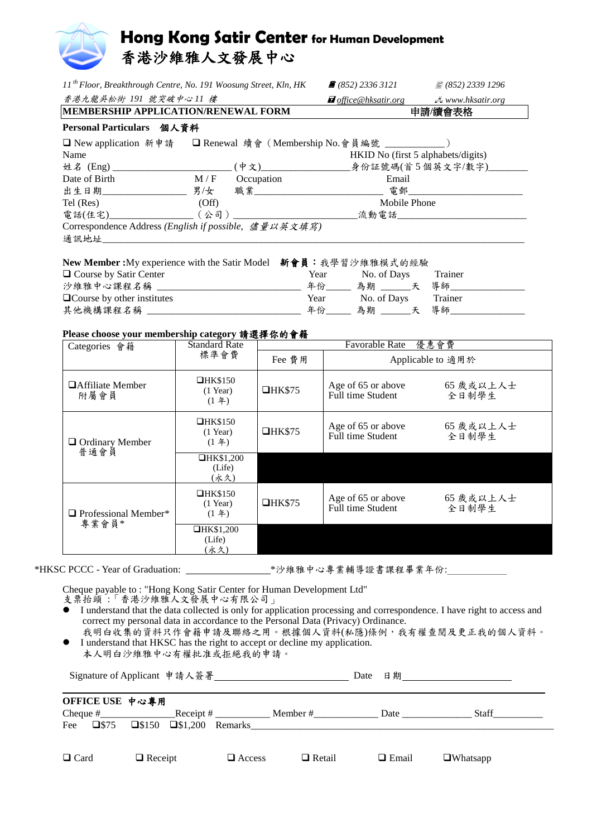

| 11 <sup>th</sup> Floor, Breakthrough Centre, No. 191 Woosung Street, Kln, HK              |                                       |               | $\bullet$ (852) 2336 3121                          | ■ (852) 2339 1296            |  |  |  |
|-------------------------------------------------------------------------------------------|---------------------------------------|---------------|----------------------------------------------------|------------------------------|--|--|--|
| 香港九龍吳松街 191 號突破中心11 樓                                                                     |                                       |               | <i>d</i> office @hksatir.org extra www.hksatir.org |                              |  |  |  |
| MEMBERSHIP APPLICATION/RENEWAL FORM                                                       |                                       |               | 申請/續會表格                                            |                              |  |  |  |
| Personal Particulars 個人資料                                                                 |                                       |               |                                                    |                              |  |  |  |
| □ New application 新申請 □ Renewal 續會 (Membership No.會員編號 ___________)                       |                                       |               |                                                    |                              |  |  |  |
| Name                                                                                      |                                       |               | HKID No (first 5 alphabets/digits)                 |                              |  |  |  |
|                                                                                           |                                       |               |                                                    |                              |  |  |  |
| Date of Birth                                                                             | $M/F$ Occupation                      |               | Email                                              |                              |  |  |  |
|                                                                                           |                                       |               |                                                    |                              |  |  |  |
| Tel (Res)                                                                                 | (Off)                                 |               | Mobile Phone                                       |                              |  |  |  |
|                                                                                           |                                       |               |                                                    |                              |  |  |  |
| Correspondence Address (English if possible, 儘量以英文填寫)                                     |                                       |               |                                                    |                              |  |  |  |
| 通訊地址 アンチャング かいしんしょう                                                                       |                                       |               |                                                    |                              |  |  |  |
| New Member:My experience with the Satir Model 新會員:我學習沙維雅模式的經驗<br>□ Course by Satir Center |                                       |               | Year No. of Days Trainer                           |                              |  |  |  |
| $\Box$ Course by other institutes                                                         |                                       |               | Year No. of Days Trainer                           |                              |  |  |  |
|                                                                                           |                                       |               |                                                    |                              |  |  |  |
| Please choose your membership category 請選擇你的會籍                                            |                                       |               |                                                    |                              |  |  |  |
| Categories 會籍                                                                             | <b>Standard Rate</b>                  |               | Favorable Rate 優惠會費                                |                              |  |  |  |
|                                                                                           | 標準會費                                  | Fee 費用        | Applicable to 適用於                                  |                              |  |  |  |
| □ Affiliate Member<br>附屬會員                                                                | $\Box$ HK\$150<br>$(1$ Year)<br>(1 4) | $\Box$ HK\$75 | Full time Student 全日制學生                            | Age of 65 or above 65 歲或以上人士 |  |  |  |

|  | $\Box$ Ordinary Member<br>普通會員       | $\Box$ HK\$150<br>$(1$ Year)<br>(1 4) | IHK\$75       | Age of 65 or above<br>Full time Student | 65 歲或以上人士<br>全日制學生 |
|--|--------------------------------------|---------------------------------------|---------------|-----------------------------------------|--------------------|
|  |                                      | $\Box$ HK\$1,200<br>(Life)<br>(永久)    |               |                                         |                    |
|  | $\Box$ Professional Member*<br>專業會員* | $\Box$ HK\$150<br>$(1$ Year)<br>(1 4) | $\Box$ HK\$75 | Age of 65 or above<br>Full time Student | 65 歲或以上人士<br>全日制學生 |
|  |                                      | $\Box$ HK\$1,200<br>(Life)<br>(永久)    |               |                                         |                    |

\*HKSC PCCC - Year of Graduation: \_\_\_\_\_\_\_\_\_\_\_\_\_\_\_\_\_\_\_\_\_\_\*沙維雅中心專業輔導證書課程畢業年份:

Cheque payable to : "Hong Kong Satir Center for Human Development Ltd"

支票抬頭:「香港沙維雅人文發展中心有限公司」

- I understand that the data collected is only for application processing and correspondence. I have right to access and correct my personal data in accordance to the Personal Data (Privacy) Ordinance.
- 我明白收集的資料只作會籍申請及聯絡之用。根據個人資料(私隱)條例,我有權查閱及更正我的個人資料。 I understand that HKSC has the right to accept or decline my application.

本人明白沙維雅中心有權批准或拒絕我的申請。

|             |                               |                |                                           | Signature of Applicant 申請人簽署 |               | Date |              | 日期__________________________ |
|-------------|-------------------------------|----------------|-------------------------------------------|------------------------------|---------------|------|--------------|------------------------------|
|             | OFFICE USE 中心專用<br>Cheque $#$ |                |                                           | Receipt $#$                  | Member $#$    |      | Date         | Staff                        |
| Fee         | $\square$ \$75                |                | $\square$ \$150 $\square$ \$1,200 Remarks |                              |               |      |              |                              |
| $\Box$ Card |                               | $\Box$ Receipt |                                           | $\Box$ Access                | $\Box$ Retail |      | $\Box$ Email | $\Box$ Whatsapp              |